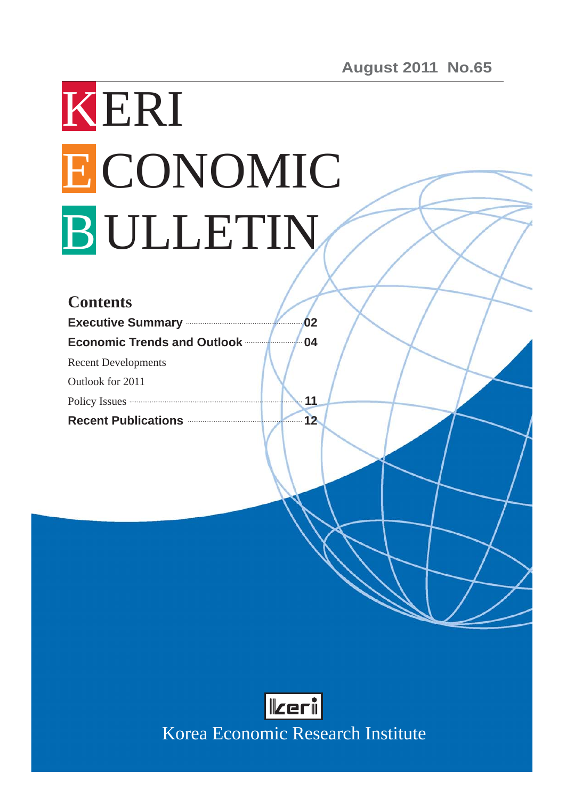# KERI ECONOMIC B ULLETIN

| <b>Contents</b>                                                                                                                                                                                                                      |    |
|--------------------------------------------------------------------------------------------------------------------------------------------------------------------------------------------------------------------------------------|----|
| Executive Summary <b>Executive</b>                                                                                                                                                                                                   | 02 |
| <b>Economic Trends and Outlook</b>                                                                                                                                                                                                   | 04 |
| <b>Recent Developments</b>                                                                                                                                                                                                           |    |
| Outlook for 2011                                                                                                                                                                                                                     |    |
| Policy Issues <b>Constant Contract Constant Constant Constant Constant Constant Constant Constant Constant Constant Constant Constant Constant Constant Constant Constant Constant Constant Constant Constant Constant Constant </b> | 11 |
| Recent Publications <b>Constitutions</b>                                                                                                                                                                                             | 12 |
|                                                                                                                                                                                                                                      |    |
|                                                                                                                                                                                                                                      |    |
|                                                                                                                                                                                                                                      |    |
|                                                                                                                                                                                                                                      |    |
|                                                                                                                                                                                                                                      |    |
|                                                                                                                                                                                                                                      |    |
|                                                                                                                                                                                                                                      |    |
|                                                                                                                                                                                                                                      |    |
|                                                                                                                                                                                                                                      |    |
|                                                                                                                                                                                                                                      |    |
|                                                                                                                                                                                                                                      |    |



Korea Economic Research Institute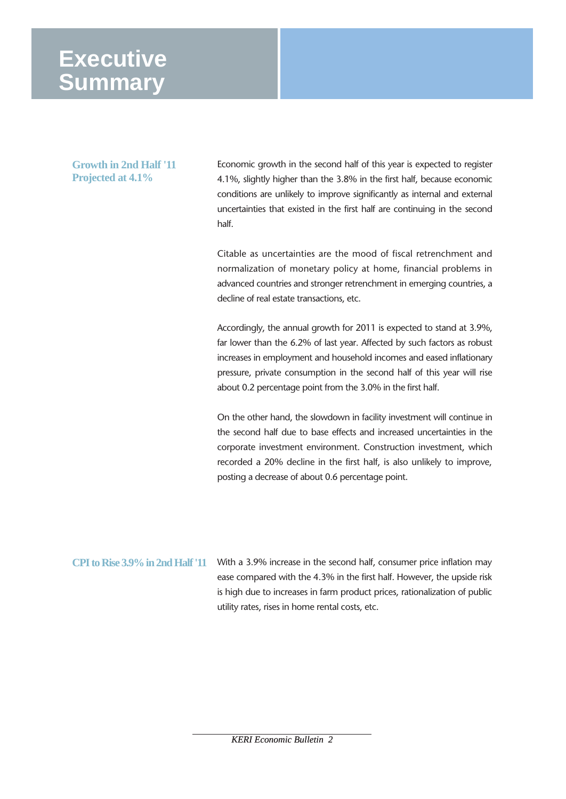## **Executive Summary**

#### **Growth in 2nd Half '11 Projected at 4.1%**

Economic growth in the second half of this year is expected to register 4.1%, slightly higher than the 3.8% in the first half, because economic conditions are unlikely to improve significantly as internal and external uncertainties that existed in the first half are continuing in the second half.

Citable as uncertainties are the mood of fiscal retrenchment and normalization of monetary policy at home, financial problems in advanced countries and stronger retrenchment in emerging countries, a decline of real estate transactions, etc.

Accordingly, the annual growth for 2011 is expected to stand at 3.9%, far lower than the 6.2% of last year. Affected by such factors as robust increases in employment and household incomes and eased inflationary pressure, private consumption in the second half of this year will rise about 0.2 percentage point from the 3.0% in the first half.

On the other hand, the slowdown in facility investment will continue in the second half due to base effects and increased uncertainties in the corporate investment environment. Construction investment, which recorded a 20% decline in the first half, is also unlikely to improve, posting a decrease of about 0.6 percentage point.

With a 3.9% increase in the second half, consumer price inflation may ease compared with the 4.3% in the first half. However, the upside risk is high due to increases in farm product prices, rationalization of public utility rates, rises in home rental costs, etc. **CPI to Rise 3.9% in 2nd Half '11**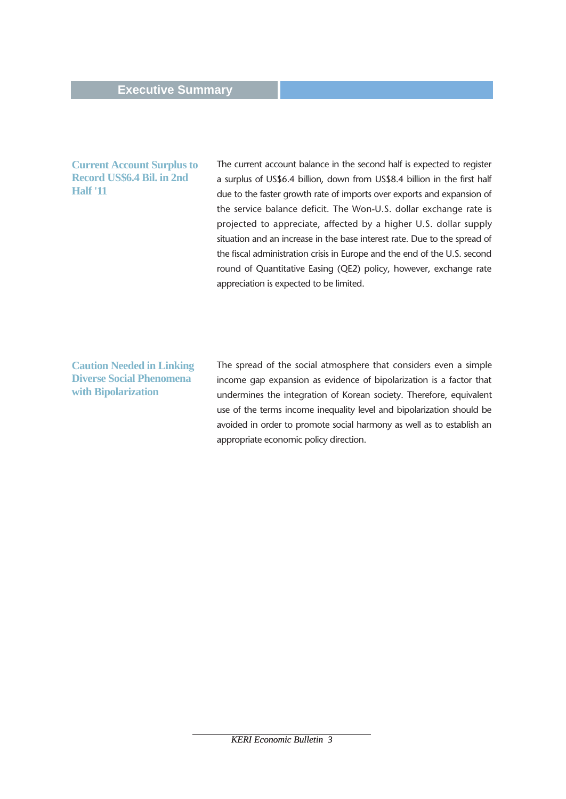#### **Current Account Surplus to Record US\$6.4 Bil. in 2nd Half '11**

The current account balance in the second half is expected to register a surplus of US\$6.4 billion, down from US\$8.4 billion in the first half due to the faster growth rate of imports over exports and expansion of the service balance deficit. The Won-U.S. dollar exchange rate is projected to appreciate, affected by a higher U.S. dollar supply situation and an increase in the base interest rate. Due to the spread of the fiscal administration crisis in Europe and the end of the U.S. second round of Quantitative Easing (QE2) policy, however, exchange rate appreciation is expected to be limited.

**Caution Needed in Linking Diverse Social Phenomena with Bipolarization**

The spread of the social atmosphere that considers even a simple income gap expansion as evidence of bipolarization is a factor that undermines the integration of Korean society. Therefore, equivalent use of the terms income inequality level and bipolarization should be avoided in order to promote social harmony as well as to establish an appropriate economic policy direction.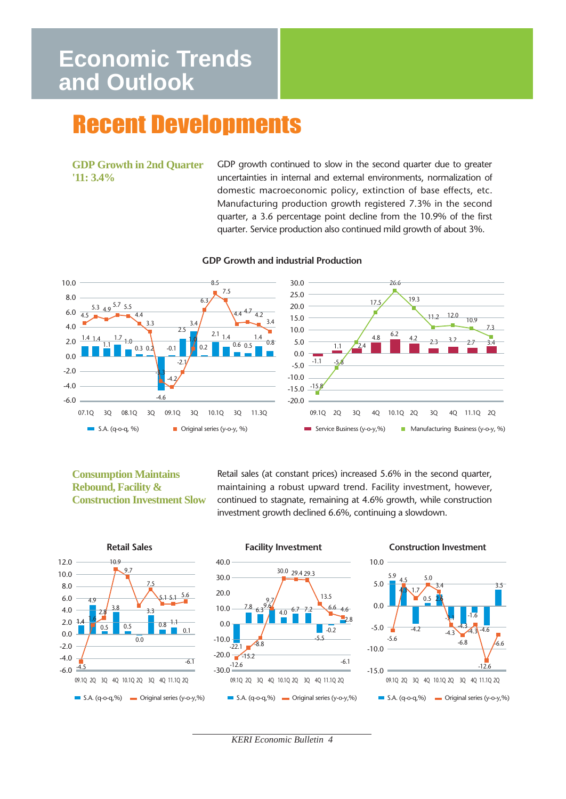## **Economic Trends and Outlook**

# Recent Developments

#### **GDP Growth in 2nd Quarter '11: 3.4%**

GDP growth continued to slow in the second quarter due to greater uncertainties in internal and external environments, normalization of domestic macroeconomic policy, extinction of base effects, etc. Manufacturing production growth registered 7.3% in the second quarter, a 3.6 percentage point decline from the 10.9% of the first quarter. Service production also continued mild growth of about 3%.



#### **GDP Growth and industrial Production**

#### **Consumption Maintains Rebound, Facility & Construction Investment Slow**

Retail sales (at constant prices) increased 5.6% in the second quarter, maintaining a robust upward trend. Facility investment, however, continued to stagnate, remaining at 4.6% growth, while construction investment growth declined 6.6%, continuing a slowdown.







*KERI Economic Bulletin 4*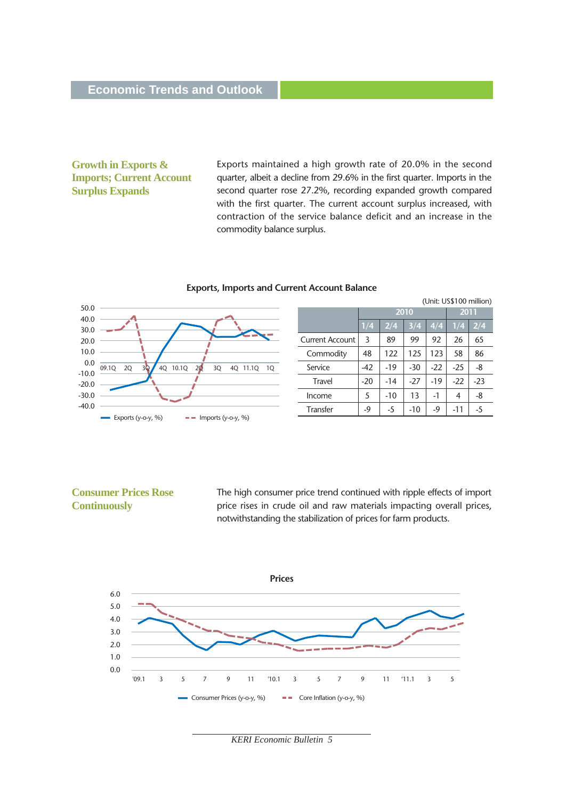#### **Growth in Exports & Imports; Current Account Surplus Expands**

Exports maintained a high growth rate of 20.0% in the second quarter, albeit a decline from 29.6% in the first quarter. Imports in the second quarter rose 27.2%, recording expanded growth compared with the first quarter. The current account surplus increased, with contraction of the service balance deficit and an increase in the commodity balance surplus.

#### **Exports, Imports and Current Account Balance**



| (Unit: US\$100 million) |       |                   |       |       |       |       |  |
|-------------------------|-------|-------------------|-------|-------|-------|-------|--|
|                         | 2010  |                   |       |       | 2011  |       |  |
|                         | 1/4   | 2/4<br>3/4<br>4/4 |       |       |       | 2/4   |  |
| <b>Current Account</b>  | 3     | 89                | 99    | 92    | 26    | 65    |  |
| Commodity               | 48    | 122               | 125   | 123   | 58    | 86    |  |
| Service                 | -42   | $-19$             | $-30$ | $-22$ | $-25$ | -8    |  |
| Travel                  | $-20$ | $-14$             | $-27$ | $-19$ | $-22$ | $-23$ |  |
| Income                  | 5     | $-10$             | 13    | $-1$  | 4     | -8    |  |
| <b>Transfer</b>         | -9    | -5                | $-10$ | $-9$  | $-11$ | -5    |  |

#### **Consumer Prices Rose Continuously**

The high consumer price trend continued with ripple effects of import price rises in crude oil and raw materials impacting overall prices, notwithstanding the stabilization of prices for farm products.

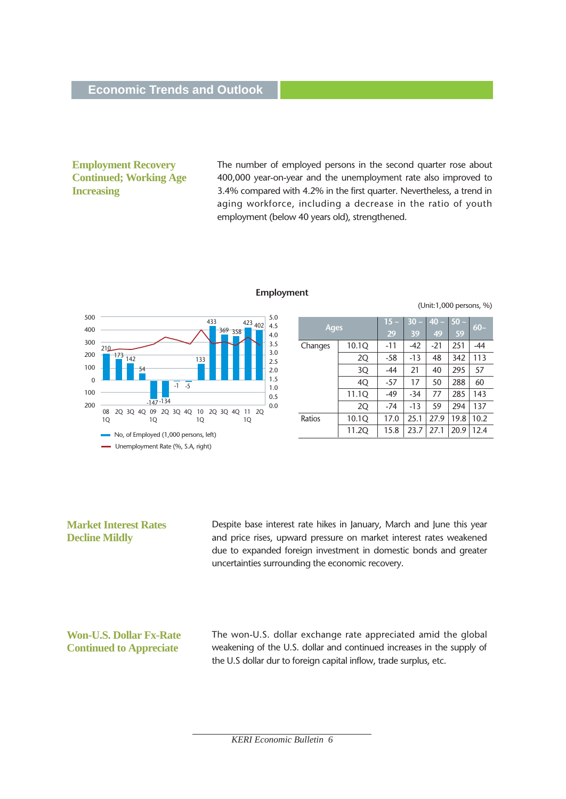#### **Employment Recovery Continued; Working Age Increasing**

The number of employed persons in the second quarter rose about 400,000 year-on-year and the unemployment rate also improved to 3.4% compared with 4.2% in the first quarter. Nevertheless, a trend in aging workforce, including a decrease in the ratio of youth employment (below 40 years old), strengthened.



#### **Employment**

(Unit:1,000 persons, %)

| <b>Ages</b> |       | $15 -$ | $30 -$ | $40 -$ | $50 -$ | $60-$ |
|-------------|-------|--------|--------|--------|--------|-------|
|             |       | 29     | 39     | 49     | 59     |       |
| Changes     | 10.1Q | $-11$  | $-42$  | $-21$  | 251    | $-44$ |
|             | 2Q    | -58    | $-13$  | 48     | 342    | 113   |
|             | 3Q    | -44    | 21     | 40     | 295    | 57    |
|             | 4Q    | $-57$  | 17     | 50     | 288    | 60    |
|             | 11.1Q | $-49$  | $-34$  | 77     | 285    | 143   |
|             | 2Q    | $-74$  | $-13$  | 59     | 294    | 137   |
| Ratios      | 10.1Q | 17.0   | 25.1   | 27.9   | 19.8   | 10.2  |
|             | 11.2Q | 15.8   | 23.7   | 27.1   | 20.9   | 12.4  |

#### **Market Interest Rates Decline Mildly**

Despite base interest rate hikes in January, March and June this year and price rises, upward pressure on market interest rates weakened due to expanded foreign investment in domestic bonds and greater uncertainties surrounding the economic recovery.

#### **Won-U.S. Dollar Fx-Rate Continued to Appreciate**

The won-U.S. dollar exchange rate appreciated amid the global weakening of the U.S. dollar and continued increases in the supply of the U.S dollar dur to foreign capital inflow, trade surplus, etc.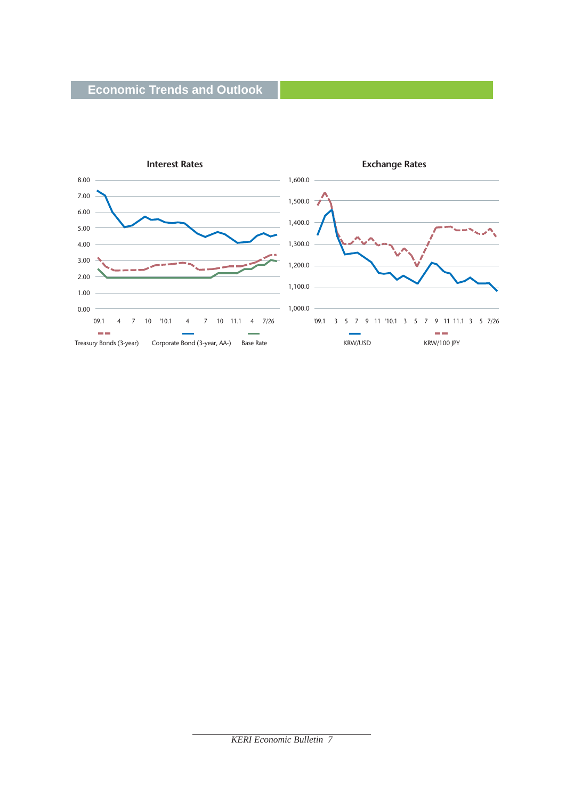

*KERI Economic Bulletin 7*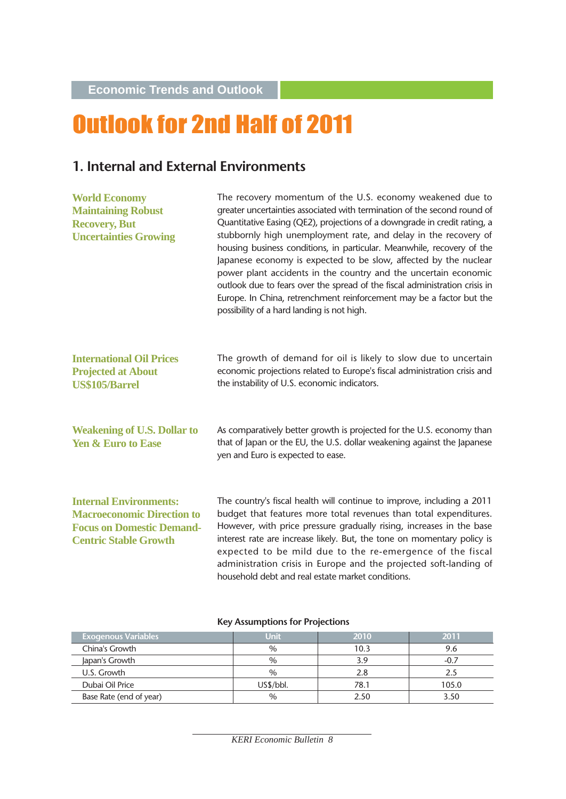**Economic Trends and Outlook**

# Outlook for 2nd Half of 2011

## **1. Internal and External Environments**

| <b>World Economy</b><br><b>Maintaining Robust</b><br><b>Recovery, But</b><br><b>Uncertainties Growing</b>                              | The recovery momentum of the U.S. economy weakened due to<br>greater uncertainties associated with termination of the second round of<br>Quantitative Easing (QE2), projections of a downgrade in credit rating, a<br>stubbornly high unemployment rate, and delay in the recovery of<br>housing business conditions, in particular. Meanwhile, recovery of the<br>Japanese economy is expected to be slow, affected by the nuclear<br>power plant accidents in the country and the uncertain economic<br>outlook due to fears over the spread of the fiscal administration crisis in<br>Europe. In China, retrenchment reinforcement may be a factor but the<br>possibility of a hard landing is not high. |
|----------------------------------------------------------------------------------------------------------------------------------------|-------------------------------------------------------------------------------------------------------------------------------------------------------------------------------------------------------------------------------------------------------------------------------------------------------------------------------------------------------------------------------------------------------------------------------------------------------------------------------------------------------------------------------------------------------------------------------------------------------------------------------------------------------------------------------------------------------------|
| <b>International Oil Prices</b><br><b>Projected at About</b><br><b>US\$105/Barrel</b>                                                  | The growth of demand for oil is likely to slow due to uncertain<br>economic projections related to Europe's fiscal administration crisis and<br>the instability of U.S. economic indicators.                                                                                                                                                                                                                                                                                                                                                                                                                                                                                                                |
| <b>Weakening of U.S. Dollar to</b><br><b>Yen &amp; Euro to Ease</b>                                                                    | As comparatively better growth is projected for the U.S. economy than<br>that of Japan or the EU, the U.S. dollar weakening against the Japanese<br>yen and Euro is expected to ease.                                                                                                                                                                                                                                                                                                                                                                                                                                                                                                                       |
| <b>Internal Environments:</b><br><b>Macroeconomic Direction to</b><br><b>Focus on Domestic Demand-</b><br><b>Centric Stable Growth</b> | The country's fiscal health will continue to improve, including a 2011<br>budget that features more total revenues than total expenditures.<br>However, with price pressure gradually rising, increases in the base<br>interest rate are increase likely. But, the tone on momentary policy is<br>expected to be mild due to the re-emergence of the fiscal<br>administration crisis in Europe and the projected soft-landing of<br>household debt and real estate market conditions.                                                                                                                                                                                                                       |

#### **Key Assumptions for Projections**

| <b>Exogenous Variables</b> | Unit          | 2010 | 2011  |
|----------------------------|---------------|------|-------|
| China's Growth             | $\%$          | 10.3 |       |
| Japan's Growth             | $\frac{0}{0}$ | 3.9  |       |
| U.S. Growth                | $\%$          | 2.8  |       |
| Dubai Oil Price            | US\$/bbl.     | 78.1 | 105.0 |
| Base Rate (end of year)    | $\%$          | 2.50 | 3.50  |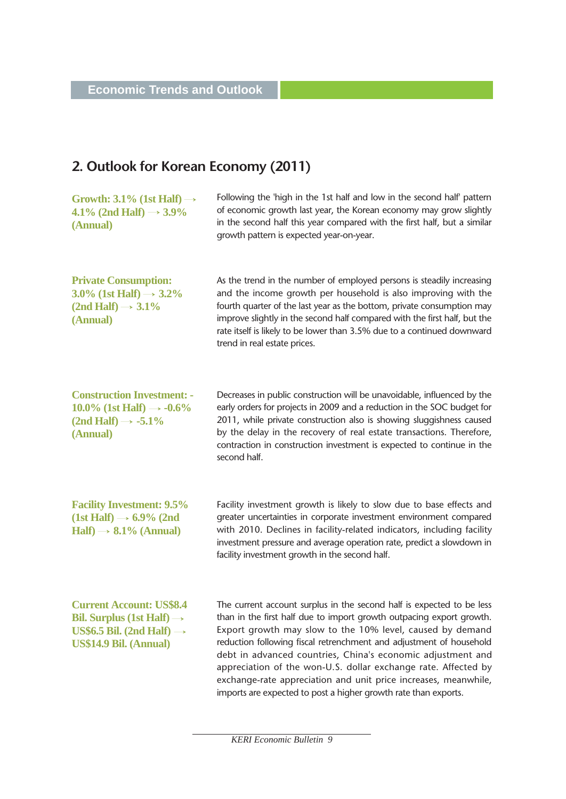## **2. Outlook for Korean Economy (2011)**

| Growth: $3.1\%$ (1st Half) $\rightarrow$<br>4.1% (2nd Half) $\rightarrow$ 3.9%<br>(Annual)                                                         | Following the 'high in the 1st half and low in the second half' pattern<br>of economic growth last year, the Korean economy may grow slightly<br>in the second half this year compared with the first half, but a similar<br>growth pattern is expected year-on-year.                                                                                                                                                                                                                                                                                    |
|----------------------------------------------------------------------------------------------------------------------------------------------------|----------------------------------------------------------------------------------------------------------------------------------------------------------------------------------------------------------------------------------------------------------------------------------------------------------------------------------------------------------------------------------------------------------------------------------------------------------------------------------------------------------------------------------------------------------|
| <b>Private Consumption:</b><br>3.0% (1st Half) $\rightarrow$ 3.2%<br>$(2nd Half) \rightarrow 3.1\%$<br>(Annual)                                    | As the trend in the number of employed persons is steadily increasing<br>and the income growth per household is also improving with the<br>fourth quarter of the last year as the bottom, private consumption may<br>improve slightly in the second half compared with the first half, but the<br>rate itself is likely to be lower than 3.5% due to a continued downward<br>trend in real estate prices.                                                                                                                                                |
| <b>Construction Investment: -</b><br>10.0% (1st Half) $\rightarrow -0.6\%$<br>$(2nd Half) \rightarrow -5.1\%$<br>(Annual)                          | Decreases in public construction will be unavoidable, influenced by the<br>early orders for projects in 2009 and a reduction in the SOC budget for<br>2011, while private construction also is showing sluggishness caused<br>by the delay in the recovery of real estate transactions. Therefore,<br>contraction in construction investment is expected to continue in the<br>second half.                                                                                                                                                              |
| <b>Facility Investment: 9.5%</b><br>$(1st \text{ Half}) \rightarrow 6.9\%$ (2nd<br>$\text{Half} \rightarrow 8.1\%$ (Annual)                        | Facility investment growth is likely to slow due to base effects and<br>greater uncertainties in corporate investment environment compared<br>with 2010. Declines in facility-related indicators, including facility<br>investment pressure and average operation rate, predict a slowdown in<br>facility investment growth in the second half.                                                                                                                                                                                                          |
| <b>Current Account: US\$8.4</b><br>Bil. Surplus (1st Half) $\rightarrow$<br>US\$6.5 Bil. (2nd Half) $\rightarrow$<br><b>US\$14.9 Bil.</b> (Annual) | The current account surplus in the second half is expected to be less<br>than in the first half due to import growth outpacing export growth.<br>Export growth may slow to the 10% level, caused by demand<br>reduction following fiscal retrenchment and adjustment of household<br>debt in advanced countries, China's economic adjustment and<br>appreciation of the won-U.S. dollar exchange rate. Affected by<br>exchange-rate appreciation and unit price increases, meanwhile,<br>imports are expected to post a higher growth rate than exports. |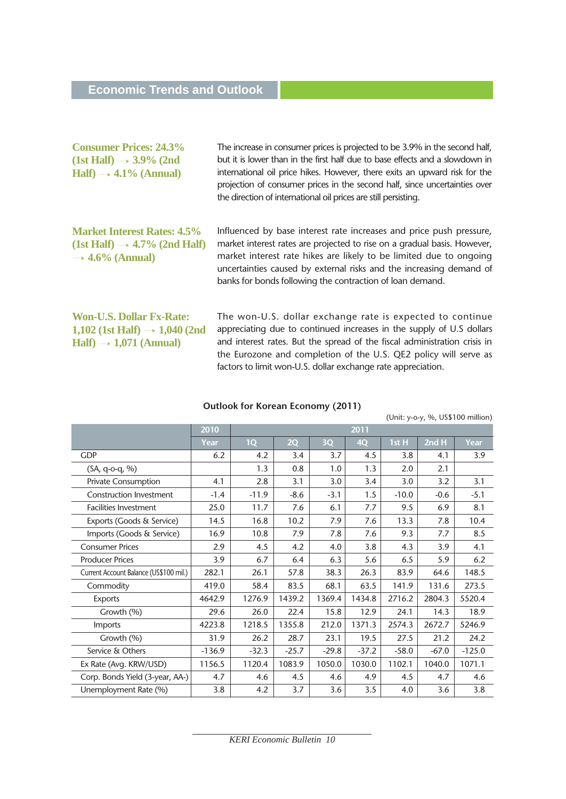| <b>Consumer Prices: 24.3%</b><br>$(1st \text{ Half}) \rightarrow 3.9\%$ (2nd<br>$Half) \rightarrow 4.1\%$ (Annual)         | The increase in consumer prices is projected to be 3.9% in the second half,<br>but it is lower than in the first half due to base effects and a slowdown in<br>international oil price hikes. However, there exits an upward risk for the<br>projection of consumer prices in the second half, since uncertainties over<br>the direction of international oil prices are still persisting. |
|----------------------------------------------------------------------------------------------------------------------------|--------------------------------------------------------------------------------------------------------------------------------------------------------------------------------------------------------------------------------------------------------------------------------------------------------------------------------------------------------------------------------------------|
| <b>Market Interest Rates: 4.5%</b><br>$(1st \text{ Half}) \rightarrow 4.7\%$ (2nd Half)<br>$\rightarrow$ 4.6% (Annual)     | Influenced by base interest rate increases and price push pressure,<br>market interest rates are projected to rise on a gradual basis. However,<br>market interest rate hikes are likely to be limited due to ongoing<br>uncertainties caused by external risks and the increasing demand of<br>banks for bonds following the contraction of loan demand.                                  |
| <b>Won-U.S. Dollar Fx-Rate:</b><br>1,102 (1st Half) $\rightarrow$ 1,040 (2nd<br>$\text{Half}$ $\rightarrow$ 1,071 (Annual) | The won-U.S. dollar exchange rate is expected to continue<br>appreciating due to continued increases in the supply of U.S dollars<br>and interest rates. But the spread of the fiscal administration crisis in<br>the Eurozone and completion of the U.S. QE2 policy will serve as<br>factors to limit won-U.S. dollar exchange rate appreciation.                                         |

| $\sigma$ and $\sigma$ is the call even only $\sigma$ in $\sigma$ |          |                                   |         |         |           |         |         |          |
|------------------------------------------------------------------|----------|-----------------------------------|---------|---------|-----------|---------|---------|----------|
|                                                                  |          | (Unit: y-o-y, %, US\$100 million) |         |         |           |         |         |          |
|                                                                  | 2010     | 2011                              |         |         |           |         |         |          |
|                                                                  | Year     | 1Q                                | 2Q      | 3Q      | <b>4Q</b> | 1st H   | 2nd H   | Year     |
| <b>GDP</b>                                                       | 6.2      | 4.2                               | 3.4     | 3.7     | 4.5       | 3.8     | 4.1     | 3.9      |
| (SA, q-o-q, %)                                                   |          | 1.3                               | 0.8     | 1.0     | 1.3       | 2.0     | 2.1     |          |
| <b>Private Consumption</b>                                       | 4.1      | 2.8                               | 3.1     | 3.0     | 3.4       | 3.0     | 3.2     | 3.1      |
| <b>Construction Investment</b>                                   | $-1.4$   | $-11.9$                           | $-8.6$  | $-3.1$  | 1.5       | $-10.0$ | $-0.6$  | $-5.1$   |
| <b>Facilities Investment</b>                                     | 25.0     | 11.7                              | 7.6     | 6.1     | 7.7       | 9.5     | 6.9     | 8.1      |
| Exports (Goods & Service)                                        | 14.5     | 16.8                              | 10.2    | 7.9     | 7.6       | 13.3    | 7.8     | 10.4     |
| Imports (Goods & Service)                                        | 16.9     | 10.8                              | 7.9     | 7.8     | 7.6       | 9.3     | 7.7     | 8.5      |
| <b>Consumer Prices</b>                                           | 2.9      | 4.5                               | 4.2     | 4.0     | 3.8       | 4.3     | 3.9     | 4.1      |
| <b>Producer Prices</b>                                           | 3.9      | 6.7                               | 6.4     | 6.3     | 5.6       | 6.5     | 5.9     | 6.2      |
| Current Account Balance (US\$100 mil.)                           | 282.1    | 26.1                              | 57.8    | 38.3    | 26.3      | 83.9    | 64.6    | 148.5    |
| Commodity                                                        | 419.0    | 58.4                              | 83.5    | 68.1    | 63.5      | 141.9   | 131.6   | 273.5    |
| Exports                                                          | 4642.9   | 1276.9                            | 1439.2  | 1369.4  | 1434.8    | 2716.2  | 2804.3  | 5520.4   |
| Growth (%)                                                       | 29.6     | 26.0                              | 22.4    | 15.8    | 12.9      | 24.1    | 14.3    | 18.9     |
| Imports                                                          | 4223.8   | 1218.5                            | 1355.8  | 212.0   | 1371.3    | 2574.3  | 2672.7  | 5246.9   |
| Growth (%)                                                       | 31.9     | 26.2                              | 28.7    | 23.1    | 19.5      | 27.5    | 21.2    | 24.2     |
| Service & Others                                                 | $-136.9$ | $-32.3$                           | $-25.7$ | $-29.8$ | $-37.2$   | $-58.0$ | $-67.0$ | $-125.0$ |
| Ex Rate (Avg. KRW/USD)                                           | 1156.5   | 1120.4                            | 1083.9  | 1050.0  | 1030.0    | 1102.1  | 1040.0  | 1071.1   |
| Corp. Bonds Yield (3-year, AA-)                                  | 4.7      | 4.6                               | 4.5     | 4.6     | 4.9       | 4.5     | 4.7     | 4.6      |
| Unemployment Rate (%)                                            | 3.8      | 4.2                               | 3.7     | 3.6     | 3.5       | 4.0     | 3.6     | 3.8      |
|                                                                  |          |                                   |         |         |           |         |         |          |

#### **Outlook for Korean Economy (2011)**

*KERI Economic Bulletin 10*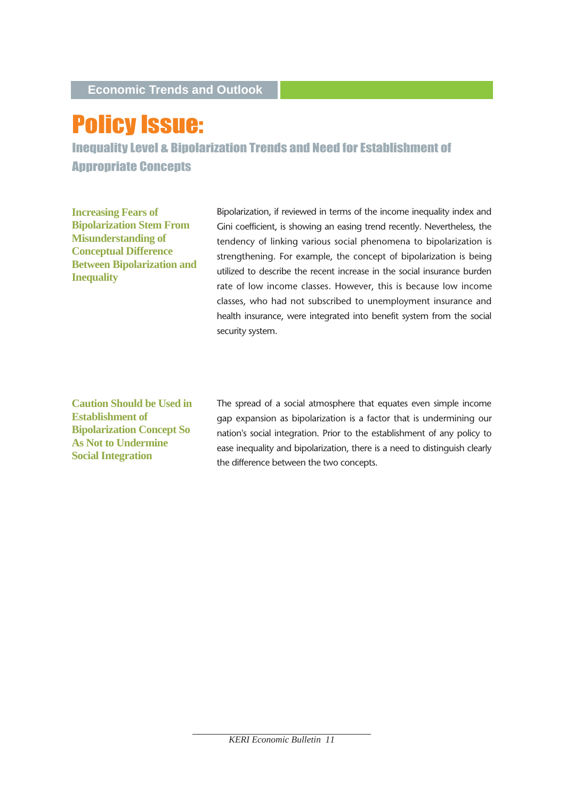# Policy Issue:

Inequality Level & Bipolarization Trends and Need for Establishment of Appropriate Concepts

**Increasing Fears of Bipolarization Stem From Misunderstanding of Conceptual Difference Between Bipolarization and Inequality**

Bipolarization, if reviewed in terms of the income inequality index and Gini coefficient, is showing an easing trend recently. Nevertheless, the tendency of linking various social phenomena to bipolarization is strengthening. For example, the concept of bipolarization is being utilized to describe the recent increase in the social insurance burden rate of low income classes. However, this is because low income classes, who had not subscribed to unemployment insurance and health insurance, were integrated into benefit system from the social security system.

**Caution Should be Used in Establishment of Bipolarization Concept So As Not to Undermine Social Integration**

The spread of a social atmosphere that equates even simple income gap expansion as bipolarization is a factor that is undermining our nation's social integration. Prior to the establishment of any policy to ease inequality and bipolarization, there is a need to distinguish clearly the difference between the two concepts.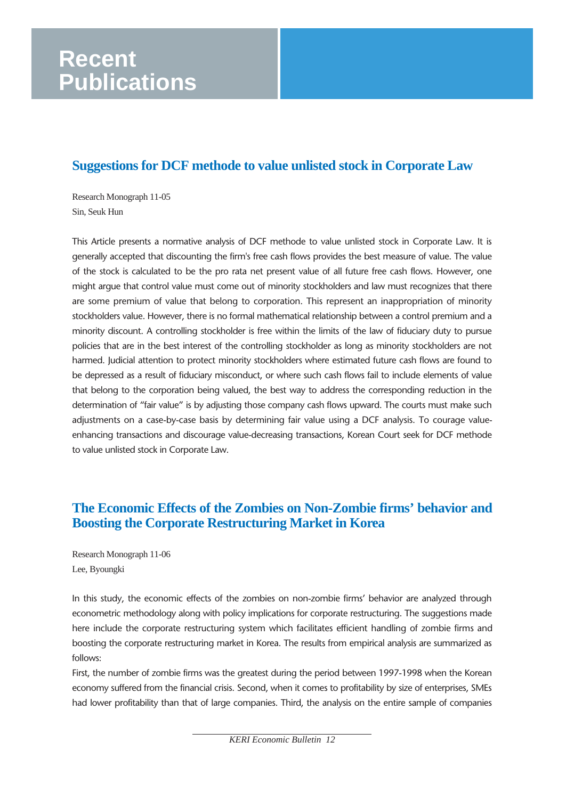## **Recent Publications**

## **Suggestions for DCF methode to value unlisted stock in Corporate Law**

Research Monograph 11-05 Sin, Seuk Hun

This Article presents a normative analysis of DCF methode to value unlisted stock in Corporate Law. It is generally accepted that discounting the firm's free cash flows provides the best measure of value. The value of the stock is calculated to be the pro rata net present value of all future free cash flows. However, one might argue that control value must come out of minority stockholders and law must recognizes that there are some premium of value that belong to corporation. This represent an inappropriation of minority stockholders value. However, there is no formal mathematical relationship between a control premium and a minority discount. A controlling stockholder is free within the limits of the law of fiduciary duty to pursue policies that are in the best interest of the controlling stockholder as long as minority stockholders are not harmed. Judicial attention to protect minority stockholders where estimated future cash flows are found to be depressed as a result of fiduciary misconduct, or where such cash flows fail to include elements of value that belong to the corporation being valued, the best way to address the corresponding reduction in the determination of "fair value" is by adjusting those company cash flows upward. The courts must make such adjustments on a case-by-case basis by determining fair value using a DCF analysis. To courage valueenhancing transactions and discourage value-decreasing transactions, Korean Court seek for DCF methode to value unlisted stock in Corporate Law.

### **The Economic Effects of the Zombies on Non-Zombie firms' behavior and Boosting the Corporate Restructuring Market in Korea**

Research Monograph 11-06 Lee, Byoungki

In this study, the economic effects of the zombies on non-zombie firms' behavior are analyzed through econometric methodology along with policy implications for corporate restructuring. The suggestions made here include the corporate restructuring system which facilitates efficient handling of zombie firms and boosting the corporate restructuring market in Korea. The results from empirical analysis are summarized as follows:

First, the number of zombie firms was the greatest during the period between 1997-1998 when the Korean economy suffered from the financial crisis. Second, when it comes to profitability by size of enterprises, SMEs had lower profitability than that of large companies. Third, the analysis on the entire sample of companies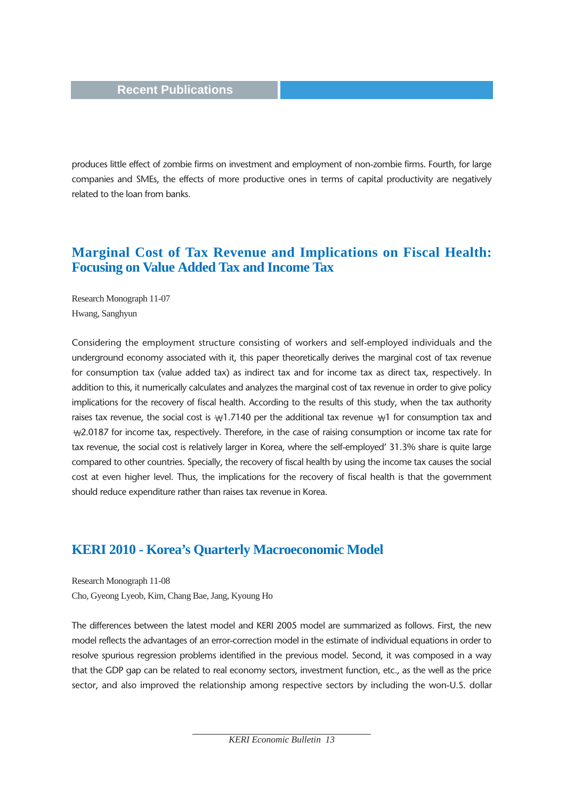produces little effect of zombie firms on investment and employment of non-zombie firms. Fourth, for large companies and SMEs, the effects of more productive ones in terms of capital productivity are negatively related to the loan from banks.

#### **Marginal Cost of Tax Revenue and Implications on Fiscal Health: Focusing on Value Added Tax and Income Tax**

Research Monograph 11-07 Hwang, Sanghyun

Considering the employment structure consisting of workers and self-employed individuals and the underground economy associated with it, this paper theoretically derives the marginal cost of tax revenue for consumption tax (value added tax) as indirect tax and for income tax as direct tax, respectively. In addition to this, it numerically calculates and analyzes the marginal cost of tax revenue in order to give policy implications for the recovery of fiscal health. According to the results of this study, when the tax authority raises tax revenue, the social cost is  $\mathcal{W}1.7140$  per the additional tax revenue  $\mathcal{W}1$  for consumption tax and  $\text{W2.0187}$  for income tax, respectively. Therefore, in the case of raising consumption or income tax rate for tax revenue, the social cost is relatively larger in Korea, where the self-employed' 31.3% share is quite large compared to other countries. Specially, the recovery of fiscal health by using the income tax causes the social cost at even higher level. Thus, the implications for the recovery of fiscal health is that the government should reduce expenditure rather than raises tax revenue in Korea.

#### **KERI 2010 - Korea's Quarterly Macroeconomic Model**

Research Monograph 11-08 Cho, Gyeong Lyeob, Kim, Chang Bae, Jang, Kyoung Ho

The differences between the latest model and KERI 2005 model are summarized as follows. First, the new model reflects the advantages of an error-correction model in the estimate of individual equations in order to resolve spurious regression problems identified in the previous model. Second, it was composed in a way that the GDP gap can be related to real economy sectors, investment function, etc., as the well as the price sector, and also improved the relationship among respective sectors by including the won-U.S. dollar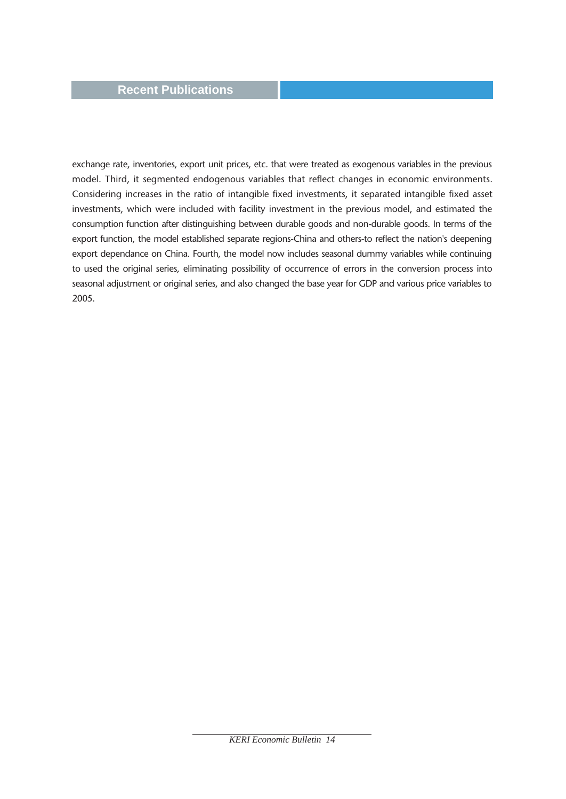#### **Recent Publications**

exchange rate, inventories, export unit prices, etc. that were treated as exogenous variables in the previous model. Third, it segmented endogenous variables that reflect changes in economic environments. Considering increases in the ratio of intangible fixed investments, it separated intangible fixed asset investments, which were included with facility investment in the previous model, and estimated the consumption function after distinguishing between durable goods and non-durable goods. In terms of the export function, the model established separate regions-China and others-to reflect the nation's deepening export dependance on China. Fourth, the model now includes seasonal dummy variables while continuing to used the original series, eliminating possibility of occurrence of errors in the conversion process into seasonal adjustment or original series, and also changed the base year for GDP and various price variables to 2005.